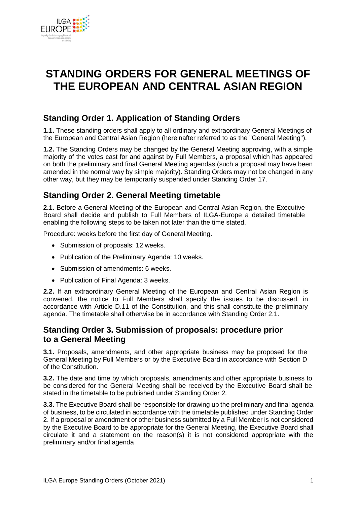

# **STANDING ORDERS FOR GENERAL MEETINGS OF THE EUROPEAN AND CENTRAL ASIAN REGION**

# **Standing Order 1. Application of Standing Orders**

**1.1.** These standing orders shall apply to all ordinary and extraordinary General Meetings of the European and Central Asian Region (hereinafter referred to as the "General Meeting").

**1.2.** The Standing Orders may be changed by the General Meeting approving, with a simple majority of the votes cast for and against by Full Members, a proposal which has appeared on both the preliminary and final General Meeting agendas (such a proposal may have been amended in the normal way by simple majority). Standing Orders may not be changed in any other way, but they may be temporarily suspended under Standing Order 17.

# **Standing Order 2. General Meeting timetable**

**2.1.** Before a General Meeting of the European and Central Asian Region, the Executive Board shall decide and publish to Full Members of ILGA-Europe a detailed timetable enabling the following steps to be taken not later than the time stated.

Procedure: weeks before the first day of General Meeting.

- Submission of proposals: 12 weeks.
- Publication of the Preliminary Agenda: 10 weeks.
- Submission of amendments: 6 weeks.
- Publication of Final Agenda: 3 weeks.

**2.2.** If an extraordinary General Meeting of the European and Central Asian Region is convened, the notice to Full Members shall specify the issues to be discussed, in accordance with Article D.11 of the Constitution, and this shall constitute the preliminary agenda. The timetable shall otherwise be in accordance with Standing Order 2.1.

### **Standing Order 3. Submission of proposals: procedure prior to a General Meeting**

**3.1.** Proposals, amendments, and other appropriate business may be proposed for the General Meeting by Full Members or by the Executive Board in accordance with Section D of the Constitution.

**3.2.** The date and time by which proposals, amendments and other appropriate business to be considered for the General Meeting shall be received by the Executive Board shall be stated in the timetable to be published under Standing Order 2.

**3.3.** The Executive Board shall be responsible for drawing up the preliminary and final agenda of business, to be circulated in accordance with the timetable published under Standing Order 2. If a proposal or amendment or other business submitted by a Full Member is not considered by the Executive Board to be appropriate for the General Meeting, the Executive Board shall circulate it and a statement on the reason(s) it is not considered appropriate with the preliminary and/or final agenda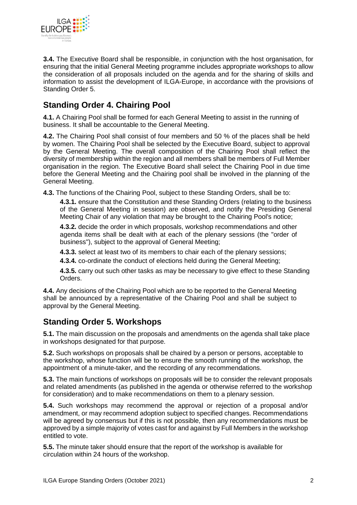

**3.4.** The Executive Board shall be responsible, in conjunction with the host organisation, for ensuring that the initial General Meeting programme includes appropriate workshops to allow the consideration of all proposals included on the agenda and for the sharing of skills and information to assist the development of ILGA-Europe, in accordance with the provisions of Standing Order 5.

# **Standing Order 4. Chairing Pool**

**4.1.** A Chairing Pool shall be formed for each General Meeting to assist in the running of business. It shall be accountable to the General Meeting.

**4.2.** The Chairing Pool shall consist of four members and 50 % of the places shall be held by women. The Chairing Pool shall be selected by the Executive Board, subject to approval by the General Meeting. The overall composition of the Chairing Pool shall reflect the diversity of membership within the region and all members shall be members of Full Member organisation in the region. The Executive Board shall select the Chairing Pool in due time before the General Meeting and the Chairing pool shall be involved in the planning of the General Meeting.

**4.3.** The functions of the Chairing Pool, subject to these Standing Orders, shall be to:

**4.3.1.** ensure that the Constitution and these Standing Orders (relating to the business of the General Meeting in session) are observed, and notify the Presiding General Meeting Chair of any violation that may be brought to the Chairing Pool's notice;

**4.3.2.** decide the order in which proposals, workshop recommendations and other agenda items shall be dealt with at each of the plenary sessions (the "order of business"), subject to the approval of General Meeting;

**4.3.3.** select at least two of its members to chair each of the plenary sessions;

**4.3.4.** co-ordinate the conduct of elections held during the General Meeting;

**4.3.5.** carry out such other tasks as may be necessary to give effect to these Standing Orders.

**4.4.** Any decisions of the Chairing Pool which are to be reported to the General Meeting shall be announced by a representative of the Chairing Pool and shall be subject to approval by the General Meeting.

# **Standing Order 5. Workshops**

**5.1.** The main discussion on the proposals and amendments on the agenda shall take place in workshops designated for that purpose.

**5.2.** Such workshops on proposals shall be chaired by a person or persons, acceptable to the workshop, whose function will be to ensure the smooth running of the workshop, the appointment of a minute-taker, and the recording of any recommendations.

**5.3.** The main functions of workshops on proposals will be to consider the relevant proposals and related amendments (as published in the agenda or otherwise referred to the workshop for consideration) and to make recommendations on them to a plenary session.

**5.4.** Such workshops may recommend the approval or rejection of a proposal and/or amendment, or may recommend adoption subject to specified changes. Recommendations will be agreed by consensus but if this is not possible, then any recommendations must be approved by a simple majority of votes cast for and against by Full Members in the workshop entitled to vote.

**5.5.** The minute taker should ensure that the report of the workshop is available for circulation within 24 hours of the workshop.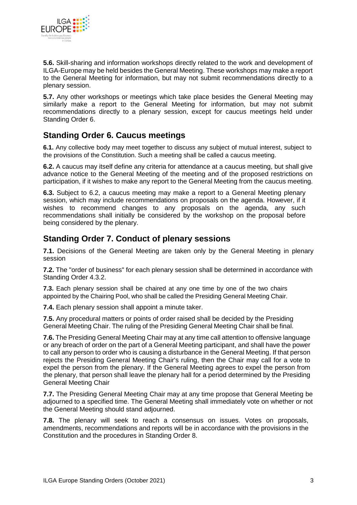

**5.6.** Skill-sharing and information workshops directly related to the work and development of ILGA-Europe may be held besides the General Meeting. These workshops may make a report to the General Meeting for information, but may not submit recommendations directly to a plenary session.

**5.7.** Any other workshops or meetings which take place besides the General Meeting may similarly make a report to the General Meeting for information, but may not submit recommendations directly to a plenary session, except for caucus meetings held under Standing Order 6.

# **Standing Order 6. Caucus meetings**

**6.1.** Any collective body may meet together to discuss any subject of mutual interest, subject to the provisions of the Constitution. Such a meeting shall be called a caucus meeting.

**6.2.** A caucus may itself define any criteria for attendance at a caucus meeting, but shall give advance notice to the General Meeting of the meeting and of the proposed restrictions on participation, if it wishes to make any report to the General Meeting from the caucus meeting.

**6.3.** Subject to 6.2, a caucus meeting may make a report to a General Meeting plenary session, which may include recommendations on proposals on the agenda. However, if it wishes to recommend changes to any proposals on the agenda, any such recommendations shall initially be considered by the workshop on the proposal before being considered by the plenary.

### **Standing Order 7. Conduct of plenary sessions**

**7.1.** Decisions of the General Meeting are taken only by the General Meeting in plenary session

**7.2.** The "order of business" for each plenary session shall be determined in accordance with Standing Order 4.3.2.

**7.3.** Each plenary session shall be chaired at any one time by one of the two chairs appointed by the Chairing Pool, who shall be called the Presiding General Meeting Chair.

**7.4.** Each plenary session shall appoint a minute taker.

**7.5.** Any procedural matters or points of order raised shall be decided by the Presiding General Meeting Chair. The ruling of the Presiding General Meeting Chair shall be final.

**7.6.** The Presiding General Meeting Chair may at any time call attention to offensive language or any breach of order on the part of a General Meeting participant, and shall have the power to call any person to order who is causing a disturbance in the General Meeting. If that person rejects the Presiding General Meeting Chair's ruling, then the Chair may call for a vote to expel the person from the plenary. If the General Meeting agrees to expel the person from the plenary, that person shall leave the plenary hall for a period determined by the Presiding General Meeting Chair

**7.7.** The Presiding General Meeting Chair may at any time propose that General Meeting be adjourned to a specified time. The General Meeting shall immediately vote on whether or not the General Meeting should stand adjourned.

**7.8.** The plenary will seek to reach a consensus on issues. Votes on proposals, amendments, recommendations and reports will be in accordance with the provisions in the Constitution and the procedures in Standing Order 8.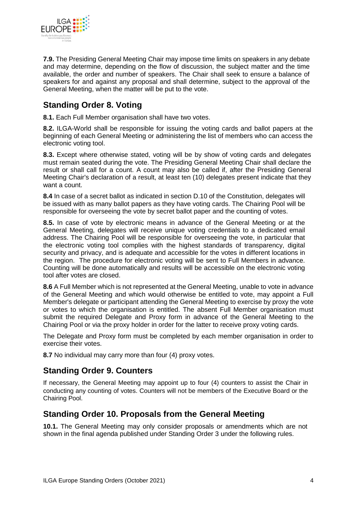

**7.9.** The Presiding General Meeting Chair may impose time limits on speakers in any debate and may determine, depending on the flow of discussion, the subject matter and the time available, the order and number of speakers. The Chair shall seek to ensure a balance of speakers for and against any proposal and shall determine, subject to the approval of the General Meeting, when the matter will be put to the vote.

# **Standing Order 8. Voting**

**8.1.** Each Full Member organisation shall have two votes.

**8.2.** ILGA-World shall be responsible for issuing the voting cards and ballot papers at the beginning of each General Meeting or administering the list of members who can access the electronic voting tool.

**8.3.** Except where otherwise stated, voting will be by show of voting cards and delegates must remain seated during the vote. The Presiding General Meeting Chair shall declare the result or shall call for a count. A count may also be called if, after the Presiding General Meeting Chair's declaration of a result, at least ten (10) delegates present indicate that they want a count.

**8.4** In case of a secret ballot as indicated in section D.10 of the Constitution, delegates will be issued with as many ballot papers as they have voting cards. The Chairing Pool will be responsible for overseeing the vote by secret ballot paper and the counting of votes.

**8.5.** In case of vote by electronic means in advance of the General Meeting or at the General Meeting, delegates will receive unique voting credentials to a dedicated email address. The Chairing Pool will be responsible for overseeing the vote, in particular that the electronic voting tool complies with the highest standards of transparency, digital security and privacy, and is adequate and accessible for the votes in different locations in the region. The procedure for electronic voting will be sent to Full Members in advance. Counting will be done automatically and results will be accessible on the electronic voting tool after votes are closed.

**8.6** A Full Member which is not represented at the General Meeting, unable to vote in advance of the General Meeting and which would otherwise be entitled to vote, may appoint a Full Member's delegate or participant attending the General Meeting to exercise by proxy the vote or votes to which the organisation is entitled. The absent Full Member organisation must submit the required Delegate and Proxy form in advance of the General Meeting to the Chairing Pool or via the proxy holder in order for the latter to receive proxy voting cards.

The Delegate and Proxy form must be completed by each member organisation in order to exercise their votes.

**8.7** No individual may carry more than four (4) proxy votes.

# **Standing Order 9. Counters**

If necessary, the General Meeting may appoint up to four (4) counters to assist the Chair in conducting any counting of votes. Counters will not be members of the Executive Board or the Chairing Pool.

### **Standing Order 10. Proposals from the General Meeting**

**10.1.** The General Meeting may only consider proposals or amendments which are not shown in the final agenda published under Standing Order 3 under the following rules.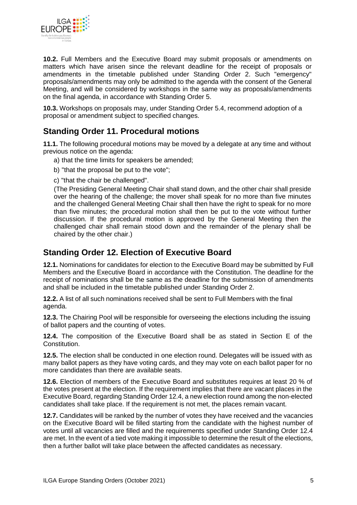

**10.2.** Full Members and the Executive Board may submit proposals or amendments on matters which have arisen since the relevant deadline for the receipt of proposals or amendments in the timetable published under Standing Order 2. Such "emergency" proposals/amendments may only be admitted to the agenda with the consent of the General Meeting, and will be considered by workshops in the same way as proposals/amendments on the final agenda, in accordance with Standing Order 5.

**10.3.** Workshops on proposals may, under Standing Order 5.4, recommend adoption of a proposal or amendment subject to specified changes.

# **Standing Order 11. Procedural motions**

**11.1.** The following procedural motions may be moved by a delegate at any time and without previous notice on the agenda:

- a) that the time limits for speakers be amended;
- b) "that the proposal be put to the vote";
- c) "that the chair be challenged".

(The Presiding General Meeting Chair shall stand down, and the other chair shall preside over the hearing of the challenge; the mover shall speak for no more than five minutes and the challenged General Meeting Chair shall then have the right to speak for no more than five minutes; the procedural motion shall then be put to the vote without further discussion. If the procedural motion is approved by the General Meeting then the challenged chair shall remain stood down and the remainder of the plenary shall be chaired by the other chair.)

### **Standing Order 12. Election of Executive Board**

**12.1.** Nominations for candidates for election to the Executive Board may be submitted by Full Members and the Executive Board in accordance with the Constitution. The deadline for the receipt of nominations shall be the same as the deadline for the submission of amendments and shall be included in the timetable published under Standing Order 2.

**12.2.** A list of all such nominations received shall be sent to Full Members with the final agenda.

**12.3.** The Chairing Pool will be responsible for overseeing the elections including the issuing of ballot papers and the counting of votes.

**12.4.** The composition of the Executive Board shall be as stated in Section E of the Constitution.

**12.5.** The election shall be conducted in one election round. Delegates will be issued with as many ballot papers as they have voting cards, and they may vote on each ballot paper for no more candidates than there are available seats.

**12.6.** Election of members of the Executive Board and substitutes requires at least 20 % of the votes present at the election. If the requirement implies that there are vacant places in the Executive Board, regarding Standing Order 12.4, a new election round among the non-elected candidates shall take place. If the requirement is not met, the places remain vacant.

**12.7.** Candidates will be ranked by the number of votes they have received and the vacancies on the Executive Board will be filled starting from the candidate with the highest number of votes until all vacancies are filled and the requirements specified under Standing Order 12.4 are met. In the event of a tied vote making it impossible to determine the result of the elections, then a further ballot will take place between the affected candidates as necessary.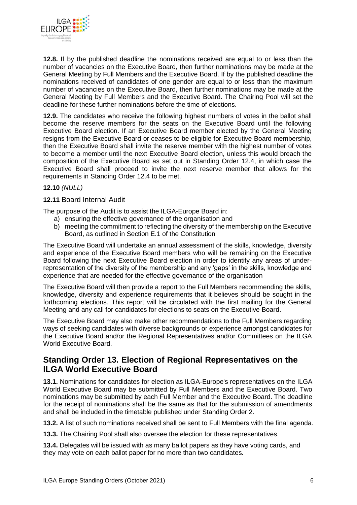

**12.8.** If by the published deadline the nominations received are equal to or less than the number of vacancies on the Executive Board, then further nominations may be made at the General Meeting by Full Members and the Executive Board. If by the published deadline the nominations received of candidates of one gender are equal to or less than the maximum number of vacancies on the Executive Board, then further nominations may be made at the General Meeting by Full Members and the Executive Board. The Chairing Pool will set the deadline for these further nominations before the time of elections.

**12.9.** The candidates who receive the following highest numbers of votes in the ballot shall become the reserve members for the seats on the Executive Board until the following Executive Board election. If an Executive Board member elected by the General Meeting resigns from the Executive Board or ceases to be eligible for Executive Board membership, then the Executive Board shall invite the reserve member with the highest number of votes to become a member until the next Executive Board election, unless this would breach the composition of the Executive Board as set out in Standing Order 12.4, in which case the Executive Board shall proceed to invite the next reserve member that allows for the requirements in Standing Order 12.4 to be met.

#### **12.10** *(NULL)*

#### **12.11** Board Internal Audit

The purpose of the Audit is to assist the ILGA-Europe Board in:

- a) ensuring the effective governance of the organisation and
- b) meeting the commitment to reflecting the diversity of the membership on the Executive Board, as outlined in Section E.1 of the Constitution

The Executive Board will undertake an annual assessment of the skills, knowledge, diversity and experience of the Executive Board members who will be remaining on the Executive Board following the next Executive Board election in order to identify any areas of underrepresentation of the diversity of the membership and any 'gaps' in the skills, knowledge and experience that are needed for the effective governance of the organisation

The Executive Board will then provide a report to the Full Members recommending the skills, knowledge, diversity and experience requirements that it believes should be sought in the forthcoming elections. This report will be circulated with the first mailing for the General Meeting and any call for candidates for elections to seats on the Executive Board.

The Executive Board may also make other recommendations to the Full Members regarding ways of seeking candidates with diverse backgrounds or experience amongst candidates for the Executive Board and/or the Regional Representatives and/or Committees on the ILGA World Executive Board.

#### **Standing Order 13. Election of Regional Representatives on the ILGA World Executive Board**

**13.1.** Nominations for candidates for election as ILGA-Europe's representatives on the ILGA World Executive Board may be submitted by Full Members and the Executive Board. Two nominations may be submitted by each Full Member and the Executive Board. The deadline for the receipt of nominations shall be the same as that for the submission of amendments and shall be included in the timetable published under Standing Order 2.

**13.2.** A list of such nominations received shall be sent to Full Members with the final agenda.

**13.3.** The Chairing Pool shall also oversee the election for these representatives.

**13.4.** Delegates will be issued with as many ballot papers as they have voting cards, and they may vote on each ballot paper for no more than two candidates*.*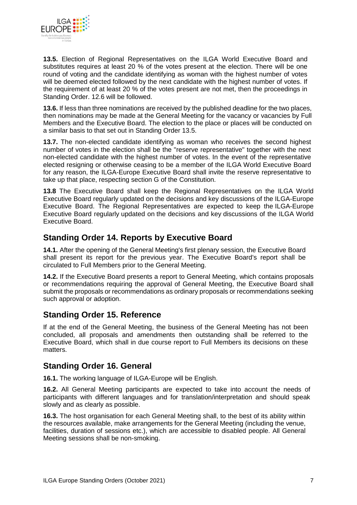

**13.5.** Election of Regional Representatives on the ILGA World Executive Board and substitutes requires at least 20 % of the votes present at the election. There will be one round of voting and the candidate identifying as woman with the highest number of votes will be deemed elected followed by the next candidate with the highest number of votes. If the requirement of at least 20 % of the votes present are not met, then the proceedings in Standing Order. 12.6 will be followed.

**13.6.** If less than three nominations are received by the published deadline for the two places, then nominations may be made at the General Meeting for the vacancy or vacancies by Full Members and the Executive Board. The election to the place or places will be conducted on a similar basis to that set out in Standing Order 13.5.

**13.7.** The non-elected candidate identifying as woman who receives the second highest number of votes in the election shall be the "reserve representative" together with the next non-elected candidate with the highest number of votes. In the event of the representative elected resigning or otherwise ceasing to be a member of the ILGA World Executive Board for any reason, the ILGA-Europe Executive Board shall invite the reserve representative to take up that place, respecting section G of the Constitution.

**13.8** The Executive Board shall keep the Regional Representatives on the ILGA World Executive Board regularly updated on the decisions and key discussions of the ILGA-Europe Executive Board. The Regional Representatives are expected to keep the ILGA-Europe Executive Board regularly updated on the decisions and key discussions of the ILGA World Executive Board.

## **Standing Order 14. Reports by Executive Board**

**14.1.** After the opening of the General Meeting's first plenary session, the Executive Board shall present its report for the previous year. The Executive Board's report shall be circulated to Full Members prior to the General Meeting.

**14.2.** If the Executive Board presents a report to General Meeting, which contains proposals or recommendations requiring the approval of General Meeting, the Executive Board shall submit the proposals or recommendations as ordinary proposals or recommendations seeking such approval or adoption.

### **Standing Order 15. Reference**

If at the end of the General Meeting, the business of the General Meeting has not been concluded, all proposals and amendments then outstanding shall be referred to the Executive Board, which shall in due course report to Full Members its decisions on these matters.

### **Standing Order 16. General**

**16.1.** The working language of ILGA-Europe will be English.

**16.2.** All General Meeting participants are expected to take into account the needs of participants with different languages and for translation/interpretation and should speak slowly and as clearly as possible.

**16.3.** The host organisation for each General Meeting shall, to the best of its ability within the resources available, make arrangements for the General Meeting (including the venue, facilities, duration of sessions etc.), which are accessible to disabled people. All General Meeting sessions shall be non-smoking.